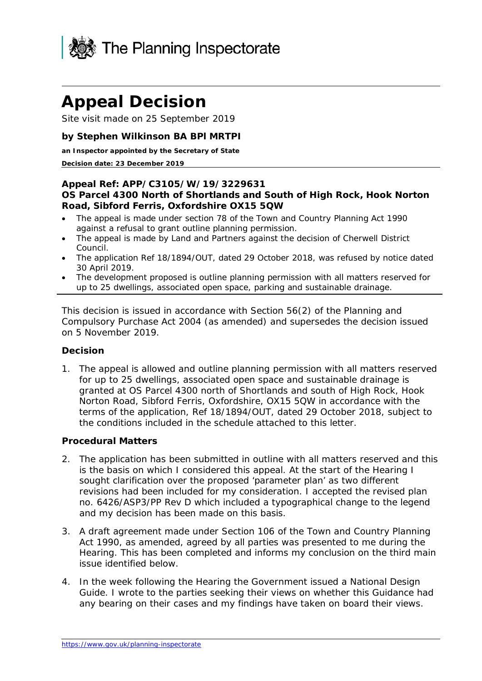

# **Appeal Decision**

Site visit made on 25 September 2019

#### **by Stephen Wilkinson BA BPl MRTPI**

#### **an Inspector appointed by the Secretary of State**

#### **Decision date: 23 December 2019**

#### **Appeal Ref: APP/C3105/W/19/3229631 OS Parcel 4300 North of Shortlands and South of High Rock, Hook Norton Road, Sibford Ferris, Oxfordshire OX15 5QW**

- The appeal is made under section 78 of the Town and Country Planning Act 1990 against a refusal to grant outline planning permission.
- The appeal is made by Land and Partners against the decision of Cherwell District Council.
- The application Ref 18/1894/OUT, dated 29 October 2018, was refused by notice dated 30 April 2019.
- The development proposed is outline planning permission with all matters reserved for up to 25 dwellings, associated open space, parking and sustainable drainage.

This decision is issued in accordance with Section 56(2) of the Planning and Compulsory Purchase Act 2004 (as amended) and supersedes the decision issued on 5 November 2019.

#### **Decision**

1. The appeal is allowed and outline planning permission with all matters reserved for up to 25 dwellings, associated open space and sustainable drainage is granted at OS Parcel 4300 north of Shortlands and south of High Rock, Hook Norton Road, Sibford Ferris, Oxfordshire, OX15 5QW in accordance with the terms of the application, Ref 18/1894/OUT, dated 29 October 2018, subject to the conditions included in the schedule attached to this letter.

#### **Procedural Matters**

- 2. The application has been submitted in outline with all matters reserved and this is the basis on which I considered this appeal. At the start of the Hearing I sought clarification over the proposed 'parameter plan' as two different revisions had been included for my consideration. I accepted the revised plan no. 6426/ASP3/PP Rev D which included a typographical change to the legend and my decision has been made on this basis.
- 3. A draft agreement made under Section 106 of the Town and Country Planning Act 1990, as amended, agreed by all parties was presented to me during the Hearing. This has been completed and informs my conclusion on the third main issue identified below.
- 4. In the week following the Hearing the Government issued a National Design Guide. I wrote to the parties seeking their views on whether this Guidance had any bearing on their cases and my findings have taken on board their views.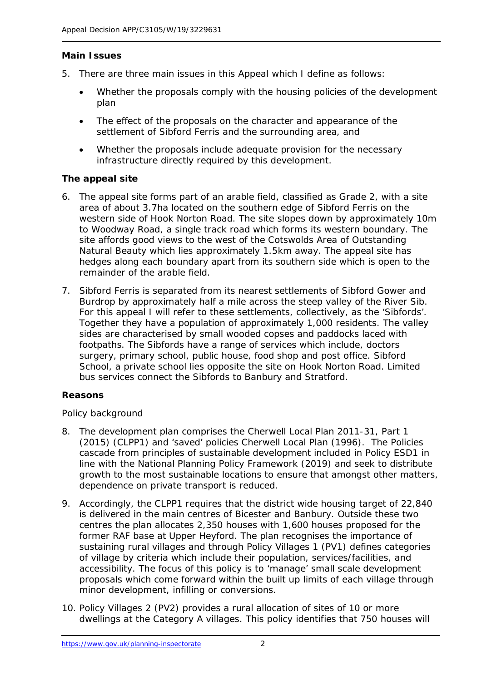# **Main Issues**

- 5. There are three main issues in this Appeal which I define as follows:
	- Whether the proposals comply with the housing policies of the development plan
	- The effect of the proposals on the character and appearance of the settlement of Sibford Ferris and the surrounding area, and
	- Whether the proposals include adequate provision for the necessary infrastructure directly required by this development.

# **The appeal site**

- 6. The appeal site forms part of an arable field, classified as Grade 2, with a site area of about 3.7ha located on the southern edge of Sibford Ferris on the western side of Hook Norton Road. The site slopes down by approximately 10m to Woodway Road, a single track road which forms its western boundary. The site affords good views to the west of the Cotswolds Area of Outstanding Natural Beauty which lies approximately 1.5km away. The appeal site has hedges along each boundary apart from its southern side which is open to the remainder of the arable field.
- 7. Sibford Ferris is separated from its nearest settlements of Sibford Gower and Burdrop by approximately half a mile across the steep valley of the River Sib. For this appeal I will refer to these settlements, collectively, as the 'Sibfords'. Together they have a population of approximately 1,000 residents. The valley sides are characterised by small wooded copses and paddocks laced with footpaths. The Sibfords have a range of services which include, doctors surgery, primary school, public house, food shop and post office. Sibford School, a private school lies opposite the site on Hook Norton Road. Limited bus services connect the Sibfords to Banbury and Stratford.

# **Reasons**

# *Policy background*

- 8. The development plan comprises the Cherwell Local Plan 2011-31, Part 1 (2015) (CLPP1) and 'saved' policies Cherwell Local Plan (1996). The Policies cascade from principles of sustainable development included in Policy ESD1 in line with the National Planning Policy Framework (2019) and seek to distribute growth to the most sustainable locations to ensure that amongst other matters, dependence on private transport is reduced.
- 9. Accordingly, the CLPP1 requires that the district wide housing target of 22,840 is delivered in the main centres of Bicester and Banbury. Outside these two centres the plan allocates 2,350 houses with 1,600 houses proposed for the former RAF base at Upper Heyford. The plan recognises the importance of sustaining rural villages and through Policy Villages 1 (PV1) defines categories of village by criteria which include their population, services/facilities, and accessibility. The focus of this policy is to 'manage' small scale development proposals which come forward within the built up limits of each village through minor development, infilling or conversions.
- 10. Policy Villages 2 (PV2) provides a rural allocation of sites of 10 or more dwellings at the Category A villages. This policy identifies that 750 houses will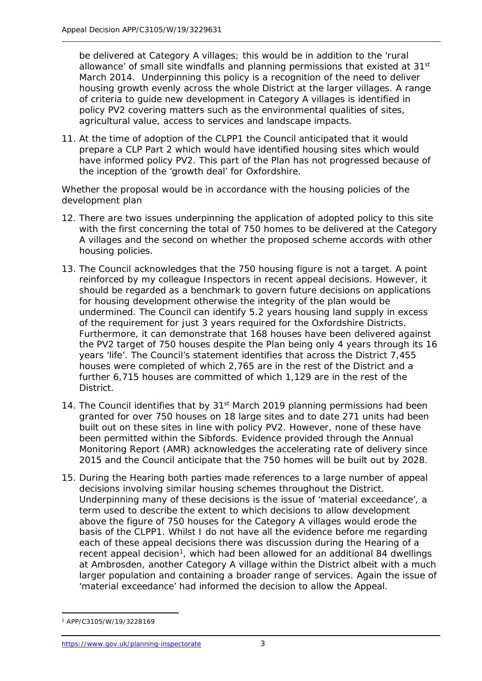be delivered at Category A villages; this would be in addition to the 'rural allowance' of small site windfalls and planning permissions that existed at 31<sup>st</sup> March 2014. Underpinning this policy is a recognition of the need to deliver housing growth evenly across the whole District at the larger villages. A range of criteria to guide new development in Category A villages is identified in policy PV2 covering matters such as the environmental qualities of sites, agricultural value, access to services and landscape impacts.

11. At the time of adoption of the CLPP1 the Council anticipated that it would prepare a CLP Part 2 which would have identified housing sites which would have informed policy PV2. This part of the Plan has not progressed because of the inception of the 'growth deal' for Oxfordshire.

#### *Whether the proposal would be in accordance with the housing policies of the development plan*

- 12. There are two issues underpinning the application of adopted policy to this site with the first concerning the total of 750 homes to be delivered at the Category A villages and the second on whether the proposed scheme accords with other housing policies.
- 13. The Council acknowledges that the 750 housing figure is not a target. A point reinforced by my colleague Inspectors in recent appeal decisions. However, it should be regarded as a benchmark to govern future decisions on applications for housing development otherwise the integrity of the plan would be undermined. The Council can identify 5.2 years housing land supply in excess of the requirement for just 3 years required for the Oxfordshire Districts. Furthermore, it can demonstrate that 168 houses have been delivered against the PV2 target of 750 houses despite the Plan being only 4 years through its 16 years 'life'. The Council's statement identifies that across the District 7,455 houses were completed of which 2,765 are in the rest of the District and a further 6,715 houses are committed of which 1,129 are in the rest of the District.
- 14. The Council identifies that by 31<sup>st</sup> March 2019 planning permissions had been granted for over 750 houses on 18 large sites and to date 271 units had been built out on these sites in line with policy PV2. However, none of these have been permitted within the Sibfords. Evidence provided through the Annual Monitoring Report (AMR) acknowledges the accelerating rate of delivery since 2015 and the Council anticipate that the 750 homes will be built out by 2028.
- 15. During the Hearing both parties made references to a large number of appeal decisions involving similar housing schemes throughout the District. Underpinning many of these decisions is the issue of 'material exceedance', a term used to describe the extent to which decisions to allow development above the figure of 750 houses for the Category A villages would erode the basis of the CLPP1. Whilst I do not have all the evidence before me regarding each of these appeal decisions there was discussion during the Hearing of a recent appeal decision<sup>[1](#page-2-0)</sup>, which had been allowed for an additional 84 dwellings at Ambrosden, another Category A village within the District albeit with a much larger population and containing a broader range of services. Again the issue of 'material exceedance' had informed the decision to allow the Appeal.

<span id="page-2-0"></span><sup>-</sup><sup>1</sup> APP/C3105/W/19/3228169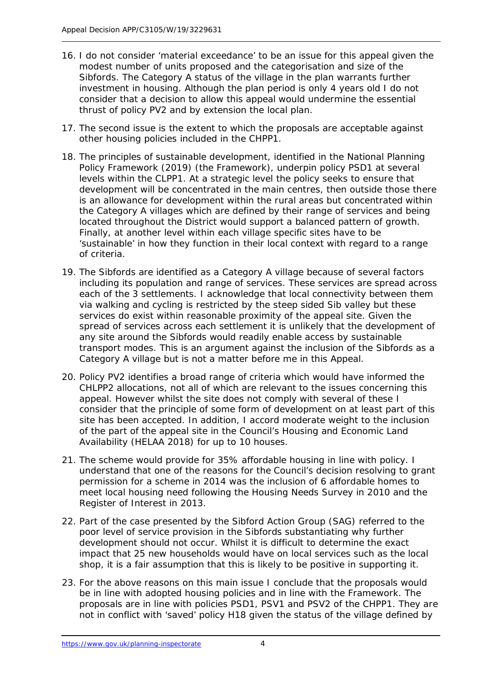- 16. I do not consider 'material exceedance' to be an issue for this appeal given the modest number of units proposed and the categorisation and size of the Sibfords. The Category A status of the village in the plan warrants further investment in housing. Although the plan period is only 4 years old I do not consider that a decision to allow this appeal would undermine the essential thrust of policy PV2 and by extension the local plan.
- 17. The second issue is the extent to which the proposals are acceptable against other housing policies included in the CHPP1.
- 18. The principles of sustainable development, identified in the National Planning Policy Framework (2019) (the Framework), underpin policy PSD1 at several levels within the CLPP1. At a strategic level the policy seeks to ensure that development will be concentrated in the main centres, then outside those there is an allowance for development within the rural areas but concentrated within the Category A villages which are defined by their range of services and being located throughout the District would support a balanced pattern of growth. Finally, at another level within each village specific sites have to be 'sustainable' in how they function in their local context with regard to a range of criteria.
- 19. The Sibfords are identified as a Category A village because of several factors including its population and range of services. These services are spread across each of the 3 settlements. I acknowledge that local connectivity between them via walking and cycling is restricted by the steep sided Sib valley but these services do exist within reasonable proximity of the appeal site. Given the spread of services across each settlement it is unlikely that the development of any site around the Sibfords would readily enable access by sustainable transport modes. This is an argument against the inclusion of the Sibfords as a Category A village but is not a matter before me in this Appeal.
- 20. Policy PV2 identifies a broad range of criteria which would have informed the CHLPP2 allocations, not all of which are relevant to the issues concerning this appeal. However whilst the site does not comply with several of these I consider that the principle of some form of development on at least part of this site has been accepted. In addition, I accord moderate weight to the inclusion of the part of the appeal site in the Council's Housing and Economic Land Availability (HELAA 2018) for up to 10 houses.
- 21. The scheme would provide for 35% affordable housing in line with policy. I understand that one of the reasons for the Council's decision resolving to grant permission for a scheme in 2014 was the inclusion of 6 affordable homes to meet local housing need following the Housing Needs Survey in 2010 and the Register of Interest in 2013.
- 22. Part of the case presented by the Sibford Action Group (SAG) referred to the poor level of service provision in the Sibfords substantiating why further development should not occur. Whilst it is difficult to determine the exact impact that 25 new households would have on local services such as the local shop, it is a fair assumption that this is likely to be positive in supporting it.
- 23. For the above reasons on this main issue I conclude that the proposals would be in line with adopted housing policies and in line with the Framework. The proposals are in line with policies PSD1, PSV1 and PSV2 of the CHPP1. They are not in conflict with 'saved' policy H18 given the status of the village defined by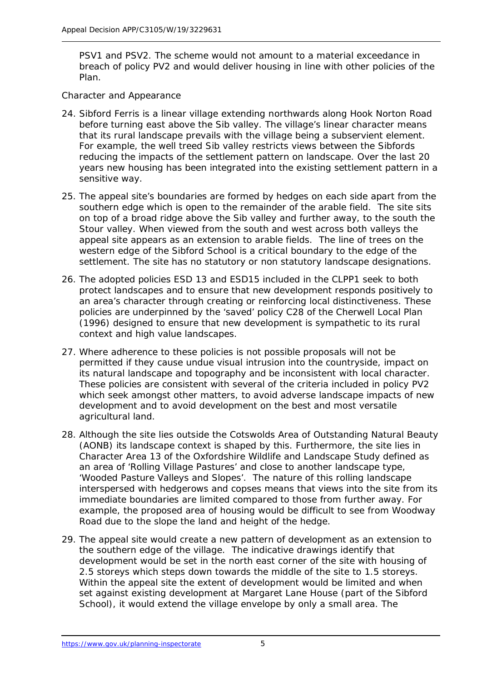PSV1 and PSV2. The scheme would not amount to a material exceedance in breach of policy PV2 and would deliver housing in line with other policies of the Plan.

### *Character and Appearance*

- 24. Sibford Ferris is a linear village extending northwards along Hook Norton Road before turning east above the Sib valley. The village's linear character means that its rural landscape prevails with the village being a subservient element. For example, the well treed Sib valley restricts views between the Sibfords reducing the impacts of the settlement pattern on landscape. Over the last 20 years new housing has been integrated into the existing settlement pattern in a sensitive way.
- 25. The appeal site's boundaries are formed by hedges on each side apart from the southern edge which is open to the remainder of the arable field. The site sits on top of a broad ridge above the Sib valley and further away, to the south the Stour valley. When viewed from the south and west across both valleys the appeal site appears as an extension to arable fields. The line of trees on the western edge of the Sibford School is a critical boundary to the edge of the settlement. The site has no statutory or non statutory landscape designations.
- 26. The adopted policies ESD 13 and ESD15 included in the CLPP1 seek to both protect landscapes and to ensure that new development responds positively to an area's character through creating or reinforcing local distinctiveness. These policies are underpinned by the 'saved' policy C28 of the Cherwell Local Plan (1996) designed to ensure that new development is sympathetic to its rural context and high value landscapes.
- 27. Where adherence to these policies is not possible proposals will not be permitted if they cause undue visual intrusion into the countryside, impact on its natural landscape and topography and be inconsistent with local character. These policies are consistent with several of the criteria included in policy PV2 which seek amongst other matters, to avoid adverse landscape impacts of new development and to avoid development on the best and most versatile agricultural land.
- 28. Although the site lies outside the Cotswolds Area of Outstanding Natural Beauty (AONB) its landscape context is shaped by this. Furthermore, the site lies in Character Area 13 of the Oxfordshire Wildlife and Landscape Study defined as an area of 'Rolling Village Pastures' and close to another landscape type, 'Wooded Pasture Valleys and Slopes'. The nature of this rolling landscape interspersed with hedgerows and copses means that views into the site from its immediate boundaries are limited compared to those from further away. For example, the proposed area of housing would be difficult to see from Woodway Road due to the slope the land and height of the hedge.
- 29. The appeal site would create a new pattern of development as an extension to the southern edge of the village. The indicative drawings identify that development would be set in the north east corner of the site with housing of 2.5 storeys which steps down towards the middle of the site to 1.5 storeys. Within the appeal site the extent of development would be limited and when set against existing development at Margaret Lane House (part of the Sibford School), it would extend the village envelope by only a small area. The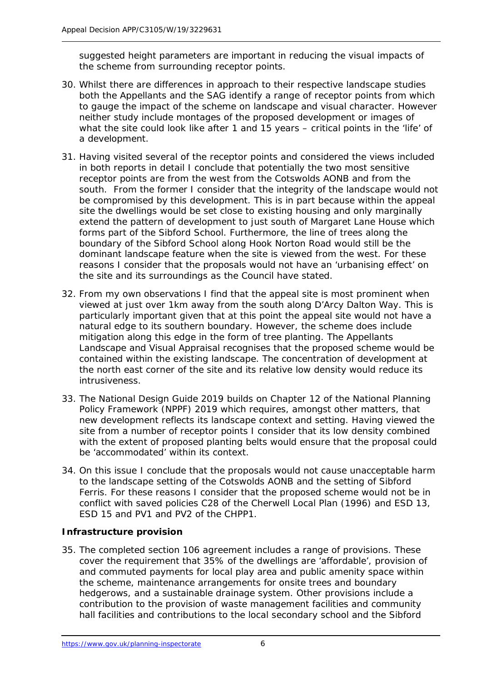suggested height parameters are important in reducing the visual impacts of the scheme from surrounding receptor points.

- 30. Whilst there are differences in approach to their respective landscape studies both the Appellants and the SAG identify a range of receptor points from which to gauge the impact of the scheme on landscape and visual character. However neither study include montages of the proposed development or images of what the site could look like after 1 and 15 years – critical points in the 'life' of a development.
- 31. Having visited several of the receptor points and considered the views included in both reports in detail I conclude that potentially the two most sensitive receptor points are from the west from the Cotswolds AONB and from the south. From the former I consider that the integrity of the landscape would not be compromised by this development. This is in part because within the appeal site the dwellings would be set close to existing housing and only marginally extend the pattern of development to just south of Margaret Lane House which forms part of the Sibford School. Furthermore, the line of trees along the boundary of the Sibford School along Hook Norton Road would still be the dominant landscape feature when the site is viewed from the west. For these reasons I consider that the proposals would not have an 'urbanising effect' on the site and its surroundings as the Council have stated.
- 32. From my own observations I find that the appeal site is most prominent when viewed at just over 1km away from the south along D'Arcy Dalton Way. This is particularly important given that at this point the appeal site would not have a natural edge to its southern boundary. However, the scheme does include mitigation along this edge in the form of tree planting. The Appellants Landscape and Visual Appraisal recognises that the proposed scheme would be contained within the existing landscape. The concentration of development at the north east corner of the site and its relative low density would reduce its intrusiveness.
- 33. The National Design Guide 2019 builds on Chapter 12 of the National Planning Policy Framework (NPPF) 2019 which requires, amongst other matters, that new development reflects its landscape context and setting. Having viewed the site from a number of receptor points I consider that its low density combined with the extent of proposed planting belts would ensure that the proposal could be 'accommodated' within its context.
- 34. On this issue I conclude that the proposals would not cause unacceptable harm to the landscape setting of the Cotswolds AONB and the setting of Sibford Ferris. For these reasons I consider that the proposed scheme would not be in conflict with saved policies C28 of the Cherwell Local Plan (1996) and ESD 13, ESD 15 and PV1 and PV2 of the CHPP1.

# **Infrastructure provision**

35. The completed section 106 agreement includes a range of provisions. These cover the requirement that 35% of the dwellings are 'affordable', provision of and commuted payments for local play area and public amenity space within the scheme, maintenance arrangements for onsite trees and boundary hedgerows, and a sustainable drainage system. Other provisions include a contribution to the provision of waste management facilities and community hall facilities and contributions to the local secondary school and the Sibford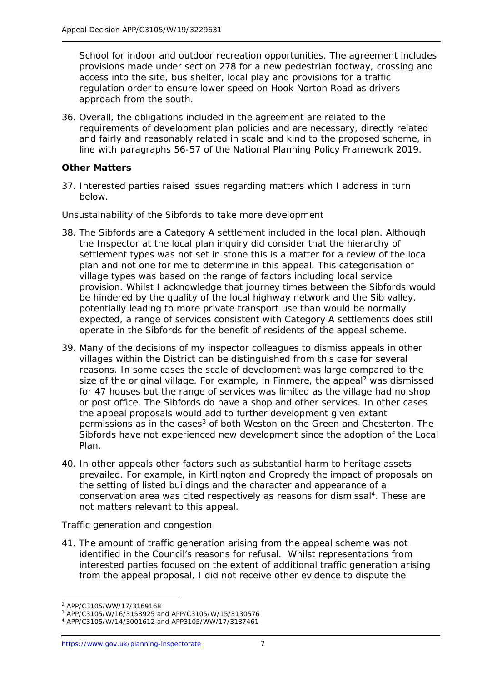School for indoor and outdoor recreation opportunities. The agreement includes provisions made under section 278 for a new pedestrian footway, crossing and access into the site, bus shelter, local play and provisions for a traffic regulation order to ensure lower speed on Hook Norton Road as drivers approach from the south.

36. Overall, the obligations included in the agreement are related to the requirements of development plan policies and are necessary, directly related and fairly and reasonably related in scale and kind to the proposed scheme, in line with paragraphs 56-57 of the National Planning Policy Framework 2019.

# **Other Matters**

37. Interested parties raised issues regarding matters which I address in turn below.

#### *Unsustainability of the Sibfords to take more development*

- 38. The Sibfords are a Category A settlement included in the local plan. Although the Inspector at the local plan inquiry did consider that the hierarchy of settlement types was not set in stone this is a matter for a review of the local plan and not one for me to determine in this appeal. This categorisation of village types was based on the range of factors including local service provision. Whilst I acknowledge that journey times between the Sibfords would be hindered by the quality of the local highway network and the Sib valley, potentially leading to more private transport use than would be normally expected, a range of services consistent with Category A settlements does still operate in the Sibfords for the benefit of residents of the appeal scheme.
- 39. Many of the decisions of my inspector colleagues to dismiss appeals in other villages within the District can be distinguished from this case for several reasons. In some cases the scale of development was large compared to the size of the original village. For example, in Finmere, the appeal<sup>[2](#page-6-0)</sup> was dismissed for 47 houses but the range of services was limited as the village had no shop or post office. The Sibfords do have a shop and other services. In other cases the appeal proposals would add to further development given extant permissions as in the cases<sup>[3](#page-6-1)</sup> of both Weston on the Green and Chesterton. The Sibfords have not experienced new development since the adoption of the Local Plan.
- 40. In other appeals other factors such as substantial harm to heritage assets prevailed. For example, in Kirtlington and Cropredy the impact of proposals on the setting of listed buildings and the character and appearance of a conservation area was cited respectively as reasons for dismissal<sup>4</sup>. These are not matters relevant to this appeal.

# *Traffic generation and congestion*

41. The amount of traffic generation arising from the appeal scheme was not identified in the Council's reasons for refusal. Whilst representations from interested parties focused on the extent of additional traffic generation arising from the appeal proposal, I did not receive other evidence to dispute the

<span id="page-6-0"></span><sup>-</sup><sup>2</sup> APP/C3105/WW/17/3169168

<sup>3</sup> APP/C3105/W/16/3158925 and APP/C3105/W/15/3130576

<span id="page-6-2"></span><span id="page-6-1"></span><sup>4</sup> APP/C3105/W/14/3001612 and APP3105/WW/17/3187461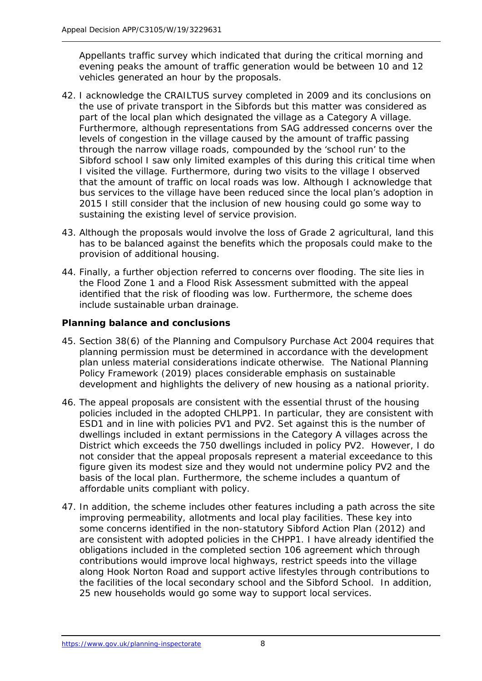Appellants traffic survey which indicated that during the critical morning and evening peaks the amount of traffic generation would be between 10 and 12 vehicles generated an hour by the proposals.

- 42. I acknowledge the CRAILTUS survey completed in 2009 and its conclusions on the use of private transport in the Sibfords but this matter was considered as part of the local plan which designated the village as a Category A village. Furthermore, although representations from SAG addressed concerns over the levels of congestion in the village caused by the amount of traffic passing through the narrow village roads, compounded by the 'school run' to the Sibford school I saw only limited examples of this during this critical time when I visited the village. Furthermore, during two visits to the village I observed that the amount of traffic on local roads was low. Although I acknowledge that bus services to the village have been reduced since the local plan's adoption in 2015 I still consider that the inclusion of new housing could go some way to sustaining the existing level of service provision.
- 43. Although the proposals would involve the loss of Grade 2 agricultural, land this has to be balanced against the benefits which the proposals could make to the provision of additional housing.
- 44. Finally, a further objection referred to concerns over flooding. The site lies in the Flood Zone 1 and a Flood Risk Assessment submitted with the appeal identified that the risk of flooding was low. Furthermore, the scheme does include sustainable urban drainage.

#### **Planning balance and conclusions**

- 45. Section 38(6) of the Planning and Compulsory Purchase Act 2004 requires that planning permission must be determined in accordance with the development plan unless material considerations indicate otherwise. The National Planning Policy Framework (2019) places considerable emphasis on sustainable development and highlights the delivery of new housing as a national priority.
- 46. The appeal proposals are consistent with the essential thrust of the housing policies included in the adopted CHLPP1. In particular, they are consistent with ESD1 and in line with policies PV1 and PV2. Set against this is the number of dwellings included in extant permissions in the Category A villages across the District which exceeds the 750 dwellings included in policy PV2. However, I do not consider that the appeal proposals represent a material exceedance to this figure given its modest size and they would not undermine policy PV2 and the basis of the local plan. Furthermore, the scheme includes a quantum of affordable units compliant with policy.
- 47. In addition, the scheme includes other features including a path across the site improving permeability, allotments and local play facilities. These key into some concerns identified in the non-statutory Sibford Action Plan (2012) and are consistent with adopted policies in the CHPP1. I have already identified the obligations included in the completed section 106 agreement which through contributions would improve local highways, restrict speeds into the village along Hook Norton Road and support active lifestyles through contributions to the facilities of the local secondary school and the Sibford School. In addition, 25 new households would go some way to support local services.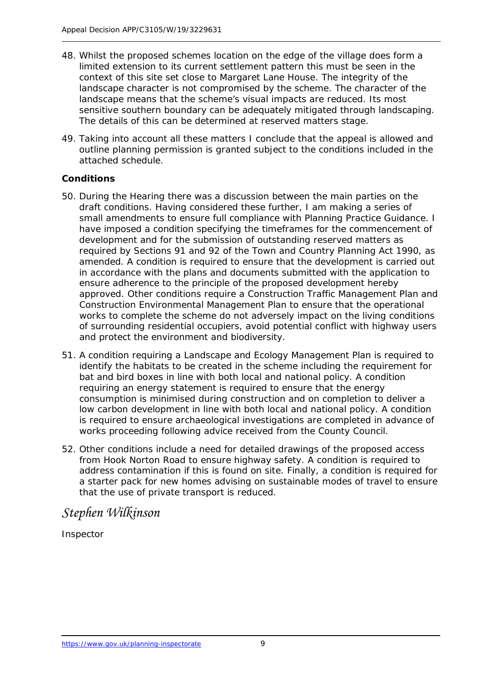- 48. Whilst the proposed schemes location on the edge of the village does form a limited extension to its current settlement pattern this must be seen in the context of this site set close to Margaret Lane House. The integrity of the landscape character is not compromised by the scheme. The character of the landscape means that the scheme's visual impacts are reduced. Its most sensitive southern boundary can be adequately mitigated through landscaping. The details of this can be determined at reserved matters stage.
- 49. Taking into account all these matters I conclude that the appeal is allowed and outline planning permission is granted subject to the conditions included in the attached schedule.

# **Conditions**

- 50. During the Hearing there was a discussion between the main parties on the draft conditions. Having considered these further, I am making a series of small amendments to ensure full compliance with Planning Practice Guidance. I have imposed a condition specifying the timeframes for the commencement of development and for the submission of outstanding reserved matters as required by Sections 91 and 92 of the Town and Country Planning Act 1990, as amended. A condition is required to ensure that the development is carried out in accordance with the plans and documents submitted with the application to ensure adherence to the principle of the proposed development hereby approved. Other conditions require a Construction Traffic Management Plan and Construction Environmental Management Plan to ensure that the operational works to complete the scheme do not adversely impact on the living conditions of surrounding residential occupiers, avoid potential conflict with highway users and protect the environment and biodiversity.
- 51. A condition requiring a Landscape and Ecology Management Plan is required to identify the habitats to be created in the scheme including the requirement for bat and bird boxes in line with both local and national policy. A condition requiring an energy statement is required to ensure that the energy consumption is minimised during construction and on completion to deliver a low carbon development in line with both local and national policy. A condition is required to ensure archaeological investigations are completed in advance of works proceeding following advice received from the County Council.
- 52. Other conditions include a need for detailed drawings of the proposed access from Hook Norton Road to ensure highway safety. A condition is required to address contamination if this is found on site. Finally, a condition is required for a starter pack for new homes advising on sustainable modes of travel to ensure that the use of private transport is reduced.

# *Stephen Wilkinson*

Inspector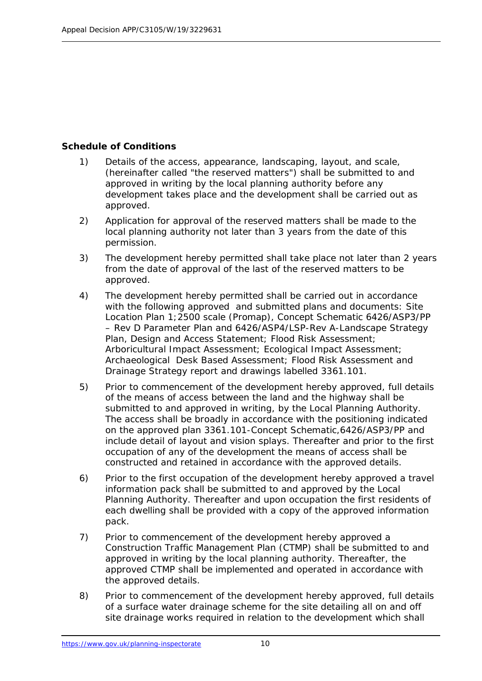### **Schedule of Conditions**

- 1) Details of the access, appearance, landscaping, layout, and scale, (hereinafter called "the reserved matters") shall be submitted to and approved in writing by the local planning authority before any development takes place and the development shall be carried out as approved.
- 2) Application for approval of the reserved matters shall be made to the local planning authority not later than 3 years from the date of this permission.
- 3) The development hereby permitted shall take place not later than 2 years from the date of approval of the last of the reserved matters to be approved.
- 4) The development hereby permitted shall be carried out in accordance with the following approved and submitted plans and documents: Site Location Plan 1;2500 scale (Promap), Concept Schematic 6426/ASP3/PP – Rev D Parameter Plan and 6426/ASP4/LSP-Rev A-Landscape Strategy Plan, Design and Access Statement; Flood Risk Assessment; Arboricultural Impact Assessment; Ecological Impact Assessment; Archaeological Desk Based Assessment; Flood Risk Assessment and Drainage Strategy report and drawings labelled 3361.101.
- 5) Prior to commencement of the development hereby approved, full details of the means of access between the land and the highway shall be submitted to and approved in writing, by the Local Planning Authority. The access shall be broadly in accordance with the positioning indicated on the approved plan 3361.101-Concept Schematic,6426/ASP3/PP and include detail of layout and vision splays. Thereafter and prior to the first occupation of any of the development the means of access shall be constructed and retained in accordance with the approved details.
- 6) Prior to the first occupation of the development hereby approved a travel information pack shall be submitted to and approved by the Local Planning Authority. Thereafter and upon occupation the first residents of each dwelling shall be provided with a copy of the approved information pack.
- 7) Prior to commencement of the development hereby approved a Construction Traffic Management Plan (CTMP) shall be submitted to and approved in writing by the local planning authority. Thereafter, the approved CTMP shall be implemented and operated in accordance with the approved details.
- 8) Prior to commencement of the development hereby approved, full details of a surface water drainage scheme for the site detailing all on and off site drainage works required in relation to the development which shall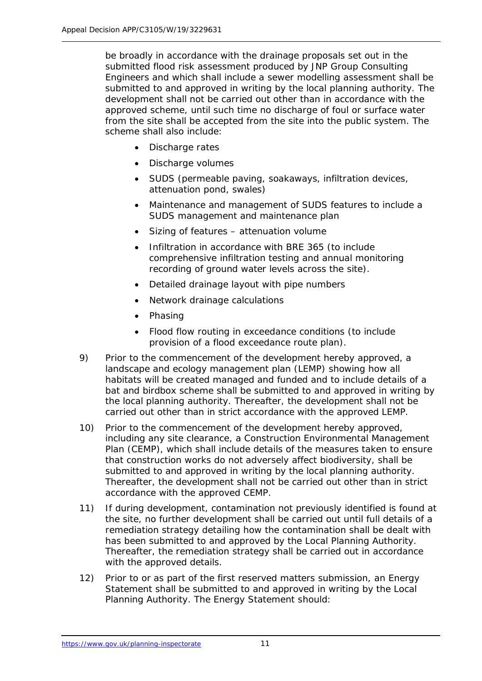be broadly in accordance with the drainage proposals set out in the submitted flood risk assessment produced by JNP Group Consulting Engineers and which shall include a sewer modelling assessment shall be submitted to and approved in writing by the local planning authority. The development shall not be carried out other than in accordance with the approved scheme, until such time no discharge of foul or surface water from the site shall be accepted from the site into the public system. The scheme shall also include:

- Discharge rates
- Discharge volumes
- SUDS (permeable paving, soakaways, infiltration devices, attenuation pond, swales)
- Maintenance and management of SUDS features to include a SUDS management and maintenance plan
- Sizing of features attenuation volume
- Infiltration in accordance with BRE 365 (to include comprehensive infiltration testing and annual monitoring recording of ground water levels across the site).
- Detailed drainage layout with pipe numbers
- Network drainage calculations
- Phasing
- Flood flow routing in exceedance conditions (to include provision of a flood exceedance route plan).
- 9) Prior to the commencement of the development hereby approved, a landscape and ecology management plan (LEMP) showing how all habitats will be created managed and funded and to include details of a bat and birdbox scheme shall be submitted to and approved in writing by the local planning authority. Thereafter, the development shall not be carried out other than in strict accordance with the approved LEMP.
- 10) Prior to the commencement of the development hereby approved, including any site clearance, a Construction Environmental Management Plan (CEMP), which shall include details of the measures taken to ensure that construction works do not adversely affect biodiversity, shall be submitted to and approved in writing by the local planning authority. Thereafter, the development shall not be carried out other than in strict accordance with the approved CEMP.
- 11) If during development, contamination not previously identified is found at the site, no further development shall be carried out until full details of a remediation strategy detailing how the contamination shall be dealt with has been submitted to and approved by the Local Planning Authority. Thereafter, the remediation strategy shall be carried out in accordance with the approved details.
- 12) Prior to or as part of the first reserved matters submission, an Energy Statement shall be submitted to and approved in writing by the Local Planning Authority. The Energy Statement should: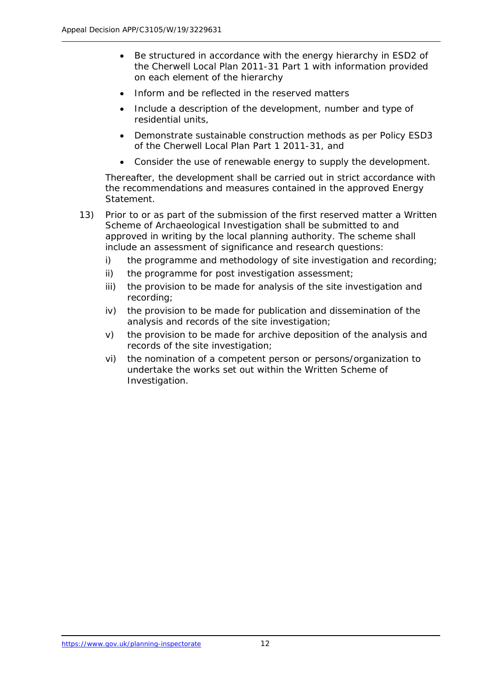- Be structured in accordance with the energy hierarchy in ESD2 of the Cherwell Local Plan 2011-31 Part 1 with information provided on each element of the hierarchy
- Inform and be reflected in the reserved matters
- Include a description of the development, number and type of residential units,
- Demonstrate sustainable construction methods as per Policy ESD3 of the Cherwell Local Plan Part 1 2011-31, and
- Consider the use of renewable energy to supply the development.

Thereafter, the development shall be carried out in strict accordance with the recommendations and measures contained in the approved Energy Statement.

- 13) Prior to or as part of the submission of the first reserved matter a Written Scheme of Archaeological Investigation shall be submitted to and approved in writing by the local planning authority. The scheme shall include an assessment of significance and research questions:
	- i) the programme and methodology of site investigation and recording;
	- ii) the programme for post investigation assessment;
	- iii) the provision to be made for analysis of the site investigation and recording;
	- iv) the provision to be made for publication and dissemination of the analysis and records of the site investigation;
	- v) the provision to be made for archive deposition of the analysis and records of the site investigation;
	- vi) the nomination of a competent person or persons/organization to undertake the works set out within the Written Scheme of Investigation.